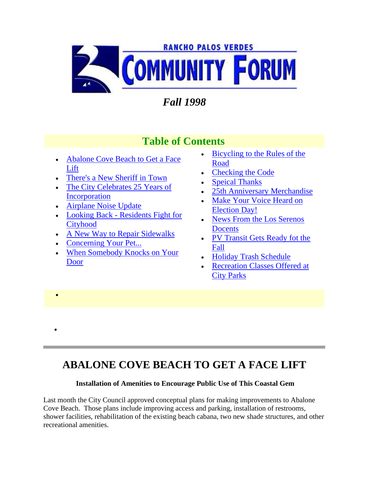

# *Fall 1998*

### **Table of Contents**

- Abalone Cove Beach to Get a Face [Lift](http://www.palosverdes.com/rpv/news/newsletters/1998/1998fall/index.cfm#abalone)
- [There's a New Sheriff in Town](http://www.palosverdes.com/rpv/news/newsletters/1998/1998fall/index.cfm#sher)
- The City Celebrates 25 Years of [Incorporation](http://www.palosverdes.com/rpv/news/newsletters/1998/1998fall/index.cfm#rpv25)
- [Airplane Noise Update](http://www.palosverdes.com/rpv/news/newsletters/1998/1998fall/index.cfm#airplane)
- Looking Back [Residents Fight for](http://www.palosverdes.com/rpv/news/newsletters/1998/1998fall/index.cfm#cityhood)  **[Cityhood](http://www.palosverdes.com/rpv/news/newsletters/1998/1998fall/index.cfm#cityhood)**
- [A New Way to Repair Sidewalks](http://www.palosverdes.com/rpv/news/newsletters/1998/1998fall/index.cfm#sidewalk)
- [Concerning Your Pet...](http://www.palosverdes.com/rpv/news/newsletters/1998/1998fall/index.cfm#pet)

 $\bullet$ 

 $\bullet$ 

 [When Somebody Knocks on Your](http://www.palosverdes.com/rpv/news/newsletters/1998/1998fall/index.cfm#knock)  [Door](http://www.palosverdes.com/rpv/news/newsletters/1998/1998fall/index.cfm#knock)

- **Bicycling to the Rules of the** [Road](http://www.palosverdes.com/rpv/news/newsletters/1998/1998fall/index.cfm#bicycle)
- [Checking the Code](http://www.palosverdes.com/rpv/news/newsletters/1998/1998fall/index.cfm#code)
- [Speical Thanks](http://www.palosverdes.com/rpv/news/newsletters/1998/1998fall/index.cfm#thanks)
- [25th Anniversary Merchandise](http://www.palosverdes.com/rpv/news/newsletters/1998/1998fall/index.cfm#mer)
- [Make Your Voice Heard on](http://www.palosverdes.com/rpv/news/newsletters/1998/1998fall/index.cfm#vote)  [Election Day!](http://www.palosverdes.com/rpv/news/newsletters/1998/1998fall/index.cfm#vote)
- News From the Los Serenos **[Docents](http://www.palosverdes.com/rpv/news/newsletters/1998/1998fall/index.cfm#docents)**
- PV Transit Gets Ready fot the [Fall](http://www.palosverdes.com/rpv/news/newsletters/1998/1998fall/index.cfm#pvtransit)
- [Holiday Trash Schedule](http://www.palosverdes.com/rpv/news/newsletters/1998/1998fall/index.cfm#trash)
- [Recreation Classes](http://www.palosverdes.com/rpv/news/newsletters/1998/1998fall/index.cfm#class) Offered at [City Parks](http://www.palosverdes.com/rpv/news/newsletters/1998/1998fall/index.cfm#class)

## **ABALONE COVE BEACH TO GET A FACE LIFT**

### **Installation of Amenities to Encourage Public Use of This Coastal Gem**

Last month the City Council approved conceptual plans for making improvements to Abalone Cove Beach. Those plans include improving access and parking, installation of restrooms, shower facilities, rehabilitation of the existing beach cabana, two new shade structures, and other recreational amenities.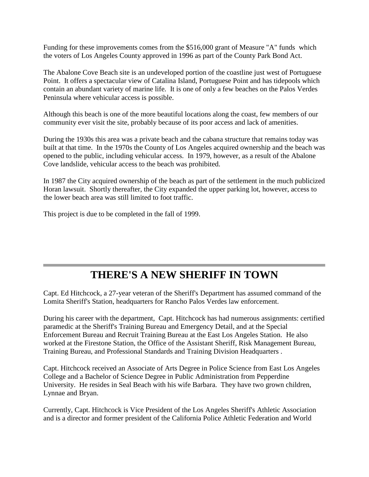Funding for these improvements comes from the \$516,000 grant of Measure "A" funds which the voters of Los Angeles County approved in 1996 as part of the County Park Bond Act.

The Abalone Cove Beach site is an undeveloped portion of the coastline just west of Portuguese Point. It offers a spectacular view of Catalina Island, Portuguese Point and has tidepools which contain an abundant variety of marine life. It is one of only a few beaches on the Palos Verdes Peninsula where vehicular access is possible.

Although this beach is one of the more beautiful locations along the coast, few members of our community ever visit the site, probably because of its poor access and lack of amenities.

During the 1930s this area was a private beach and the cabana structure that remains today was built at that time. In the 1970s the County of Los Angeles acquired ownership and the beach was opened to the public, including vehicular access. In 1979, however, as a result of the Abalone Cove landslide, vehicular access to the beach was prohibited.

In 1987 the City acquired ownership of the beach as part of the settlement in the much publicized Horan lawsuit. Shortly thereafter, the City expanded the upper parking lot, however, access to the lower beach area was still limited to foot traffic.

This project is due to be completed in the fall of 1999.

## **THERE'S A NEW SHERIFF IN TOWN**

Capt. Ed Hitchcock, a 27-year veteran of the Sheriff's Department has assumed command of the Lomita Sheriff's Station, headquarters for Rancho Palos Verdes law enforcement.

During his career with the department, Capt. Hitchcock has had numerous assignments: certified paramedic at the Sheriff's Training Bureau and Emergency Detail, and at the Special Enforcement Bureau and Recruit Training Bureau at the East Los Angeles Station. He also worked at the Firestone Station, the Office of the Assistant Sheriff, Risk Management Bureau, Training Bureau, and Professional Standards and Training Division Headquarters .

Capt. Hitchcock received an Associate of Arts Degree in Police Science from East Los Angeles College and a Bachelor of Science Degree in Public Administration from Pepperdine University. He resides in Seal Beach with his wife Barbara. They have two grown children, Lynnae and Bryan.

Currently, Capt. Hitchcock is Vice President of the Los Angeles Sheriff's Athletic Association and is a director and former president of the California Police Athletic Federation and World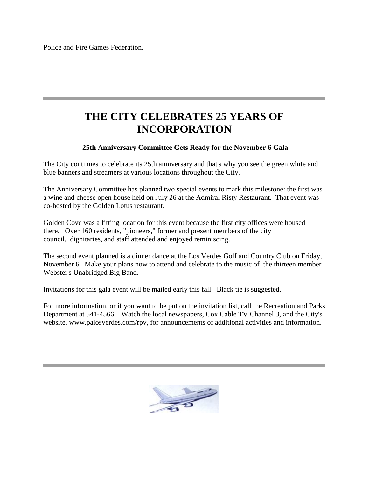Police and Fire Games Federation.

## **THE CITY CELEBRATES 25 YEARS OF INCORPORATION**

#### **25th Anniversary Committee Gets Ready for the November 6 Gala**

The City continues to celebrate its 25th anniversary and that's why you see the green white and blue banners and streamers at various locations throughout the City.

The Anniversary Committee has planned two special events to mark this milestone: the first was a wine and cheese open house held on July 26 at the Admiral Risty Restaurant. That event was co-hosted by the Golden Lotus restaurant.

Golden Cove was a fitting location for this event because the first city offices were housed there. Over 160 residents, "pioneers," former and present members of the city council, dignitaries, and staff attended and enjoyed reminiscing.

The second event planned is a dinner dance at the Los Verdes Golf and Country Club on Friday, November 6. Make your plans now to attend and celebrate to the music of the thirteen member Webster's Unabridged Big Band.

Invitations for this gala event will be mailed early this fall. Black tie is suggested.

For more information, or if you want to be put on the invitation list, call the Recreation and Parks Department at 541-4566. Watch the local newspapers, Cox Cable TV Channel 3, and the City's website, www.palosverdes.com/rpv, for announcements of additional activities and information.

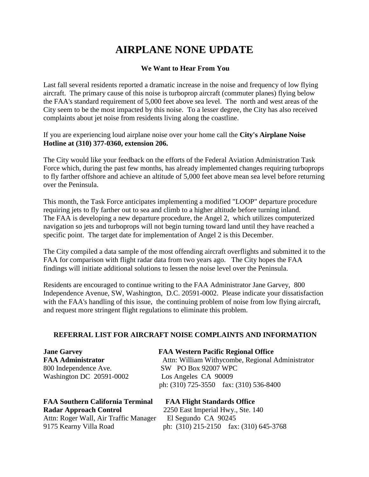# **AIRPLANE NONE UPDATE**

#### **We Want to Hear From You**

Last fall several residents reported a dramatic increase in the noise and frequency of low flying aircraft. The primary cause of this noise is turboprop aircraft (commuter planes) flying below the FAA's standard requirement of 5,000 feet above sea level. The north and west areas of the City seem to be the most impacted by this noise. To a lesser degree, the City has also received complaints about jet noise from residents living along the coastline.

If you are experiencing loud airplane noise over your home call the **City's Airplane Noise Hotline at (310) 377-0360, extension 206.**

The City would like your feedback on the efforts of the Federal Aviation Administration Task Force which, during the past few months, has already implemented changes requiring turboprops to fly farther offshore and achieve an altitude of 5,000 feet above mean sea level before returning over the Peninsula.

This month, the Task Force anticipates implementing a modified "LOOP" departure procedure requiring jets to fly farther out to sea and climb to a higher altitude before turning inland. The FAA is developing a new departure procedure, the Angel 2, which utilizes computerized navigation so jets and turboprops will not begin turning toward land until they have reached a specific point. The target date for implementation of Angel 2 is this December.

The City compiled a data sample of the most offending aircraft overflights and submitted it to the FAA for comparison with flight radar data from two years ago. The City hopes the FAA findings will initiate additional solutions to lessen the noise level over the Peninsula.

Residents are encouraged to continue writing to the FAA Administrator Jane Garvey, 800 Independence Avenue, SW, Washington, D.C. 20591-0002. Please indicate your dissatisfaction with the FAA's handling of this issue, the continuing problem of noise from low flying aircraft, and request more stringent flight regulations to eliminate this problem.

#### **REFERRAL LIST FOR AIRCRAFT NOISE COMPLAINTS AND INFORMATION**

| <b>Jane Garvey</b>       | <b>FAA Western Pacific Regional Office</b>       |
|--------------------------|--------------------------------------------------|
| <b>FAA Administrator</b> | Attn: William Withycombe, Regional Administrator |
| 800 Independence Ave.    | SW PO Box 92007 WPC                              |
| Washington DC 20591-0002 | Los Angeles CA 90009                             |
|                          | ph: $(310)$ 725-3550 fax: $(310)$ 536-8400       |

### **FAA Southern California Terminal FAA Flight Standards Office Radar Approach Control** 2250 East Imperial Hwy., Ste. 140 Attn: Roger Wall, Air Traffic Manager El Segundo CA 90245

9175 Kearny Villa Road ph: (310) 215-2150 fax: (310) 645-3768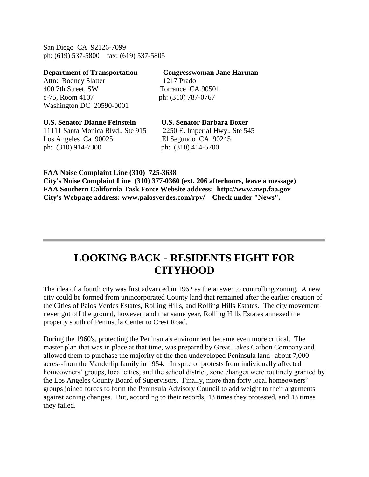San Diego CA 92126-7099 ph: (619) 537-5800 fax: (619) 537-5805

| <b>Department of Transportation</b>  | <b>Congresswoman Jane Harman</b>  |
|--------------------------------------|-----------------------------------|
| Attn: Rodney Slatter                 | 1217 Prado                        |
| 400 7th Street, SW                   | Torrance CA 90501                 |
| c-75, Room 4107                      | ph: (310) 787-0767                |
| Washington DC 20590-0001             |                                   |
| <b>U.S. Senator Dianne Feinstein</b> | <b>U.S. Senator Barbara Boxer</b> |
| 11111 Santa Monica Blvd., Ste 915    | 2250 E. Imperial Hwy., Ste 545    |
| Los Angeles Ca 90025                 | El Segundo CA 90245               |
| ph: (310) 914-7300                   | ph: (310) 414-5700                |

**FAA Noise Complaint Line (310) 725-3638 City's Noise Complaint Line (310) 377-0360 (ext. 206 afterhours, leave a message) FAA Southern California Task Force Website address: http://www.awp.faa.gov City's Webpage address: www.palosverdes.com/rpv/ Check under "News".**

## **LOOKING BACK - RESIDENTS FIGHT FOR CITYHOOD**

The idea of a fourth city was first advanced in 1962 as the answer to controlling zoning. A new city could be formed from unincorporated County land that remained after the earlier creation of the Cities of Palos Verdes Estates, Rolling Hills, and Rolling Hills Estates. The city movement never got off the ground, however; and that same year, Rolling Hills Estates annexed the property south of Peninsula Center to Crest Road.

During the 1960's, protecting the Peninsula's environment became even more critical. The master plan that was in place at that time, was prepared by Great Lakes Carbon Company and allowed them to purchase the majority of the then undeveloped Peninsula land--about 7,000 acres--from the Vanderlip family in 1954. In spite of protests from individually affected homeowners' groups, local cities, and the school district, zone changes were routinely granted by the Los Angeles County Board of Supervisors. Finally, more than forty local homeowners' groups joined forces to form the Peninsula Advisory Council to add weight to their arguments against zoning changes. But, according to their records, 43 times they protested, and 43 times they failed.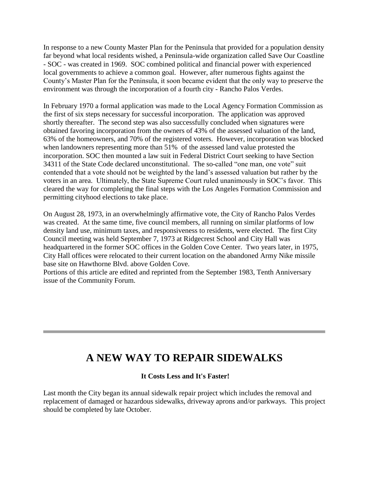In response to a new County Master Plan for the Peninsula that provided for a population density far beyond what local residents wished, a Peninsula-wide organization called Save Our Coastline - SOC - was created in 1969. SOC combined political and financial power with experienced local governments to achieve a common goal. However, after numerous fights against the County's Master Plan for the Peninsula, it soon became evident that the only way to preserve the environment was through the incorporation of a fourth city - Rancho Palos Verdes.

In February 1970 a formal application was made to the Local Agency Formation Commission as the first of six steps necessary for successful incorporation. The application was approved shortly thereafter. The second step was also successfully concluded when signatures were obtained favoring incorporation from the owners of 43% of the assessed valuation of the land, 63% of the homeowners, and 70% of the registered voters. However, incorporation was blocked when landowners representing more than 51% of the assessed land value protested the incorporation. SOC then mounted a law suit in Federal District Court seeking to have Section 34311 of the State Code declared unconstitutional. The so-called "one man, one vote" suit contended that a vote should not be weighted by the land's assessed valuation but rather by the voters in an area. Ultimately, the State Supreme Court ruled unanimously in SOC's favor. This cleared the way for completing the final steps with the Los Angeles Formation Commission and permitting cityhood elections to take place.

On August 28, 1973, in an overwhelmingly affirmative vote, the City of Rancho Palos Verdes was created. At the same time, five council members, all running on similar platforms of low density land use, minimum taxes, and responsiveness to residents, were elected. The first City Council meeting was held September 7, 1973 at Ridgecrest School and City Hall was headquartered in the former SOC offices in the Golden Cove Center. Two years later, in 1975, City Hall offices were relocated to their current location on the abandoned Army Nike missile base site on Hawthorne Blvd. above Golden Cove.

Portions of this article are edited and reprinted from the September 1983, Tenth Anniversary issue of the Community Forum.

### **A NEW WAY TO REPAIR SIDEWALKS**

#### **It Costs Less and It's Faster!**

Last month the City began its annual sidewalk repair project which includes the removal and replacement of damaged or hazardous sidewalks, driveway aprons and/or parkways. This project should be completed by late October.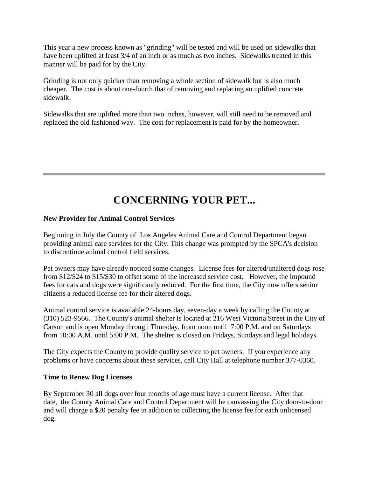This year a new process known as "grinding" will be tested and will be used on sidewalks that have been uplifted at least 3/4 of an inch or as much as two inches. Sidewalks treated in this manner will be paid for by the City.

Grinding is not only quicker than removing a whole section of sidewalk but is also much cheaper. The cost is about one-fourth that of removing and replacing an uplifted concrete sidewalk.

Sidewalks that are uplifted more than two inches, however, will still need to be removed and replaced the old fashioned way. The cost for replacement is paid for by the homeowner.

## **CONCERNING YOUR PET...**

#### **New Provider for Animal Control Services**

Beginning in July the County of Los Angeles Animal Care and Control Department began providing animal care services for the City. This change was prompted by the SPCA's decision to discontinue animal control field services.

Pet owners may have already noticed some changes. License fees for altered/unaltered dogs rose from \$12/\$24 to \$15/\$30 to offset some of the increased service cost. However, the impound fees for cats and dogs were significantly reduced. For the first time, the City now offers senior citizens a reduced license fee for their altered dogs.

Animal control service is available 24-hours day, seven-day a week by calling the County at (310) 523-9566. The County's animal shelter is located at 216 West Victoria Street in the City of Carson and is open Monday through Thursday, from noon until 7:00 P.M. and on Saturdays from 10:00 A.M. until 5:00 P.M. The shelter is closed on Fridays, Sundays and legal holidays.

The City expects the County to provide quality service to pet owners. If you experience any problems or have concerns about these services, call City Hall at telephone number 377-0360.

#### **Time to Renew Dog Licenses**

By September 30 all dogs over four months of age must have a current license. After that date, the County Animal Care and Control Department will be canvassing the City door-to-door and will charge a \$20 penalty fee in addition to collecting the license fee for each unlicensed dog.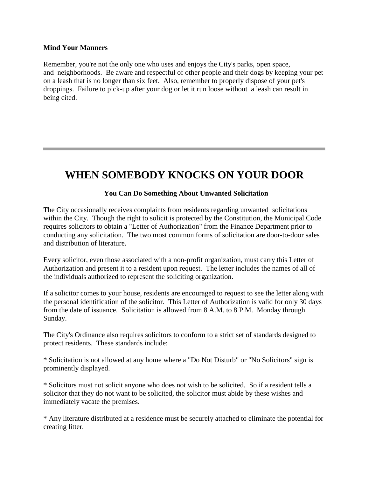#### **Mind Your Manners**

Remember, you're not the only one who uses and enjoys the City's parks, open space, and neighborhoods. Be aware and respectful of other people and their dogs by keeping your pet on a leash that is no longer than six feet. Also, remember to properly dispose of your pet's droppings. Failure to pick-up after your dog or let it run loose without a leash can result in being cited.

### **WHEN SOMEBODY KNOCKS ON YOUR DOOR**

#### **You Can Do Something About Unwanted Solicitation**

The City occasionally receives complaints from residents regarding unwanted solicitations within the City. Though the right to solicit is protected by the Constitution, the Municipal Code requires solicitors to obtain a "Letter of Authorization" from the Finance Department prior to conducting any solicitation. The two most common forms of solicitation are door-to-door sales and distribution of literature.

Every solicitor, even those associated with a non-profit organization, must carry this Letter of Authorization and present it to a resident upon request. The letter includes the names of all of the individuals authorized to represent the soliciting organization.

If a solicitor comes to your house, residents are encouraged to request to see the letter along with the personal identification of the solicitor. This Letter of Authorization is valid for only 30 days from the date of issuance. Solicitation is allowed from 8 A.M. to 8 P.M. Monday through Sunday.

The City's Ordinance also requires solicitors to conform to a strict set of standards designed to protect residents. These standards include:

\* Solicitation is not allowed at any home where a "Do Not Disturb" or "No Solicitors" sign is prominently displayed.

\* Solicitors must not solicit anyone who does not wish to be solicited. So if a resident tells a solicitor that they do not want to be solicited, the solicitor must abide by these wishes and immediately vacate the premises.

\* Any literature distributed at a residence must be securely attached to eliminate the potential for creating litter.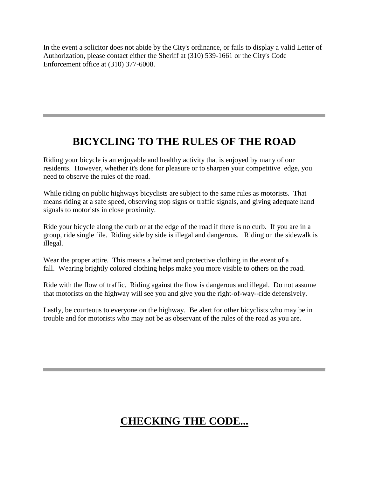In the event a solicitor does not abide by the City's ordinance, or fails to display a valid Letter of Authorization, please contact either the Sheriff at (310) 539-1661 or the City's Code Enforcement office at (310) 377-6008.

## **BICYCLING TO THE RULES OF THE ROAD**

Riding your bicycle is an enjoyable and healthy activity that is enjoyed by many of our residents. However, whether it's done for pleasure or to sharpen your competitive edge, you need to observe the rules of the road.

While riding on public highways bicyclists are subject to the same rules as motorists. That means riding at a safe speed, observing stop signs or traffic signals, and giving adequate hand signals to motorists in close proximity.

Ride your bicycle along the curb or at the edge of the road if there is no curb. If you are in a group, ride single file. Riding side by side is illegal and dangerous. Riding on the sidewalk is illegal.

Wear the proper attire. This means a helmet and protective clothing in the event of a fall. Wearing brightly colored clothing helps make you more visible to others on the road.

Ride with the flow of traffic. Riding against the flow is dangerous and illegal. Do not assume that motorists on the highway will see you and give you the right-of-way--ride defensively.

Lastly, be courteous to everyone on the highway. Be alert for other bicyclists who may be in trouble and for motorists who may not be as observant of the rules of the road as you are.

# **CHECKING THE CODE...**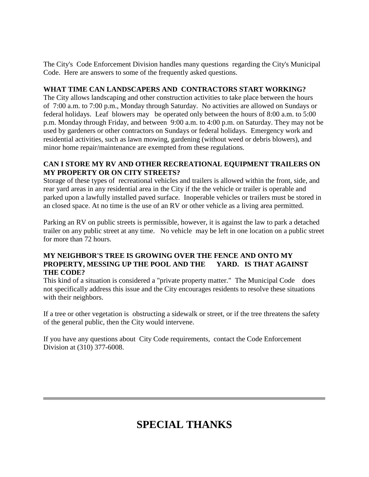The City's Code Enforcement Division handles many questions regarding the City's Municipal Code. Here are answers to some of the frequently asked questions.

#### **WHAT TIME CAN LANDSCAPERS AND CONTRACTORS START WORKING?**

The City allows landscaping and other construction activities to take place between the hours of 7:00 a.m. to 7:00 p.m., Monday through Saturday. No activities are allowed on Sundays or federal holidays. Leaf blowers may be operated only between the hours of 8:00 a.m. to 5:00 p.m. Monday through Friday, and between 9:00 a.m. to 4:00 p.m. on Saturday. They may not be used by gardeners or other contractors on Sundays or federal holidays. Emergency work and residential activities, such as lawn mowing, gardening (without weed or debris blowers), and minor home repair/maintenance are exempted from these regulations.

#### **CAN I STORE MY RV AND OTHER RECREATIONAL EQUIPMENT TRAILERS ON MY PROPERTY OR ON CITY STREETS?**

Storage of these types of recreational vehicles and trailers is allowed within the front, side, and rear yard areas in any residential area in the City if the the vehicle or trailer is operable and parked upon a lawfully installed paved surface. Inoperable vehicles or trailers must be stored in an closed space. At no time is the use of an RV or other vehicle as a living area permitted.

Parking an RV on public streets is permissible, however, it is against the law to park a detached trailer on any public street at any time. No vehicle may be left in one location on a public street for more than 72 hours.

#### **MY NEIGHBOR'S TREE IS GROWING OVER THE FENCE AND ONTO MY PROPERTY, MESSING UP THE POOL AND THE YARD. IS THAT AGAINST THE CODE?**

This kind of a situation is considered a "private property matter." The Municipal Code does not specifically address this issue and the City encourages residents to resolve these situations with their neighbors.

If a tree or other vegetation is obstructing a sidewalk or street, or if the tree threatens the safety of the general public, then the City would intervene.

If you have any questions about City Code requirements, contact the Code Enforcement Division at (310) 377-6008.

# **SPECIAL THANKS**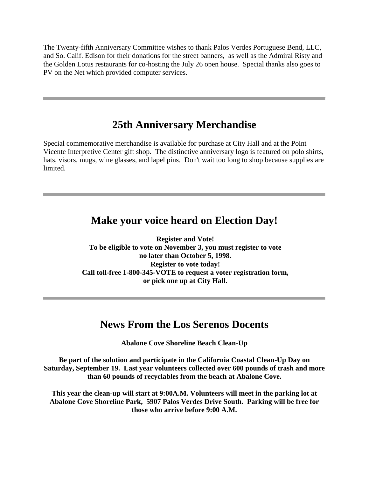The Twenty-fifth Anniversary Committee wishes to thank Palos Verdes Portuguese Bend, LLC, and So. Calif. Edison for their donations for the street banners, as well as the Admiral Risty and the Golden Lotus restaurants for co-hosting the July 26 open house. Special thanks also goes to PV on the Net which provided computer services.

### **25th Anniversary Merchandise**

Special commemorative merchandise is available for purchase at City Hall and at the Point Vicente Interpretive Center gift shop. The distinctive anniversary logo is featured on polo shirts, hats, visors, mugs, wine glasses, and lapel pins. Don't wait too long to shop because supplies are limited.

### **Make your voice heard on Election Day!**

**Register and Vote! To be eligible to vote on November 3, you must register to vote no later than October 5, 1998. Register to vote today! Call toll-free 1-800-345-VOTE to request a voter registration form, or pick one up at City Hall.** 

### **News From the Los Serenos Docents**

**Abalone Cove Shoreline Beach Clean-Up** 

**Be part of the solution and participate in the California Coastal Clean-Up Day on Saturday, September 19. Last year volunteers collected over 600 pounds of trash and more than 60 pounds of recyclables from the beach at Abalone Cove.** 

**This year the clean-up will start at 9:00A.M. Volunteers will meet in the parking lot at Abalone Cove Shoreline Park, 5907 Palos Verdes Drive South. Parking will be free for those who arrive before 9:00 A.M.**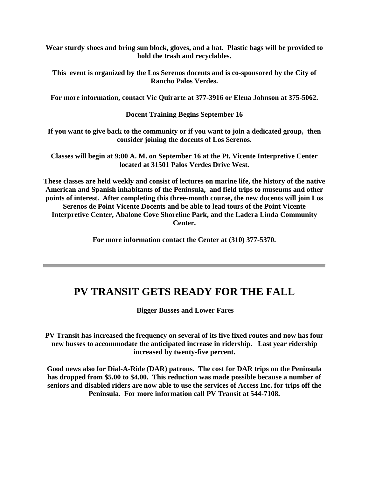**Wear sturdy shoes and bring sun block, gloves, and a hat. Plastic bags will be provided to hold the trash and recyclables.** 

**This event is organized by the Los Serenos docents and is co-sponsored by the City of Rancho Palos Verdes.** 

**For more information, contact Vic Quirarte at 377-3916 or Elena Johnson at 375-5062.** 

**Docent Training Begins September 16** 

**If you want to give back to the community or if you want to join a dedicated group, then consider joining the docents of Los Serenos.** 

**Classes will begin at 9:00 A. M. on September 16 at the Pt. Vicente Interpretive Center located at 31501 Palos Verdes Drive West.** 

**These classes are held weekly and consist of lectures on marine life, the history of the native American and Spanish inhabitants of the Peninsula, and field trips to museums and other points of interest. After completing this three-month course, the new docents will join Los Serenos de Point Vicente Docents and be able to lead tours of the Point Vicente Interpretive Center, Abalone Cove Shoreline Park, and the Ladera Linda Community Center.** 

**For more information contact the Center at (310) 377-5370.** 

### **PV TRANSIT GETS READY FOR THE FALL**

**Bigger Busses and Lower Fares**

**PV Transit has increased the frequency on several of its five fixed routes and now has four new busses to accommodate the anticipated increase in ridership. Last year ridership increased by twenty-five percent.** 

**Good news also for Dial-A-Ride (DAR) patrons. The cost for DAR trips on the Peninsula has dropped from \$5.00 to \$4.00. This reduction was made possible because a number of seniors and disabled riders are now able to use the services of Access Inc. for trips off the Peninsula. For more information call PV Transit at 544-7108.**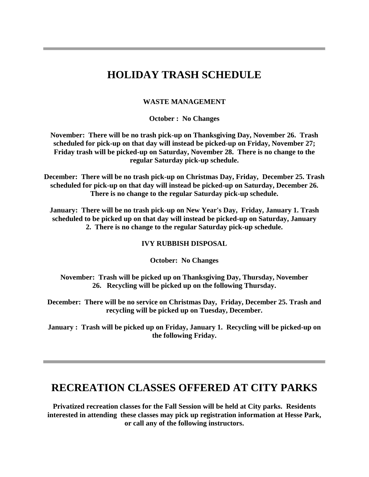### **HOLIDAY TRASH SCHEDULE**

#### **WASTE MANAGEMENT**

**October : No Changes** 

**November: There will be no trash pick-up on Thanksgiving Day, November 26. Trash scheduled for pick-up on that day will instead be picked-up on Friday, November 27; Friday trash will be picked-up on Saturday, November 28. There is no change to the regular Saturday pick-up schedule.** 

**December: There will be no trash pick-up on Christmas Day, Friday, December 25. Trash scheduled for pick-up on that day will instead be picked-up on Saturday, December 26. There is no change to the regular Saturday pick-up schedule.** 

**January: There will be no trash pick-up on New Year's Day, Friday, January 1. Trash scheduled to be picked up on that day will instead be picked-up on Saturday, January 2. There is no change to the regular Saturday pick-up schedule.** 

#### **IVY RUBBISH DISPOSAL**

**October: No Changes** 

**November: Trash will be picked up on Thanksgiving Day, Thursday, November 26. Recycling will be picked up on the following Thursday.** 

**December: There will be no service on Christmas Day, Friday, December 25. Trash and recycling will be picked up on Tuesday, December.** 

**January : Trash will be picked up on Friday, January 1. Recycling will be picked-up on the following Friday.** 

### **RECREATION CLASSES OFFERED AT CITY PARKS**

**Privatized recreation classes for the Fall Session will be held at City parks. Residents interested in attending these classes may pick up registration information at Hesse Park, or call any of the following instructors.**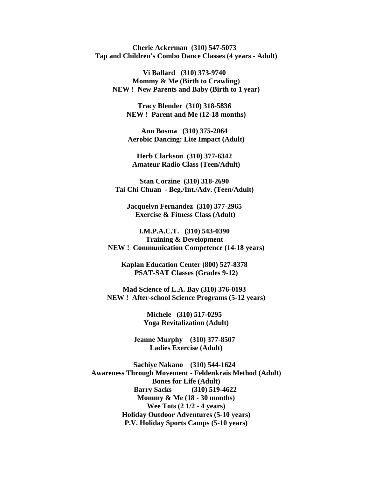**Cherie Ackerman (310) 547-5073 Tap and Children's Combo Dance Classes (4 years - Adult)** 

**Vi Ballard (310) 373-9740 Mommy & Me (Birth to Crawling) NEW ! New Parents and Baby (Birth to 1 year)** 

> **Tracy Blender (310) 318-5836 NEW ! Parent and Me (12-18 months)**

**Ann Bosma (310) 375-2064 Aerobic Dancing: Lite Impact (Adult)** 

**Herb Clarkson (310) 377-6342 Amateur Radio Class (Teen/Adult)** 

**Stan Corzine (310) 318-2690 Tai Chi Chuan - Beg./Int./Adv. (Teen/Adult)** 

**Jacquelyn Fernandez (310) 377-2965 Exercise & Fitness Class (Adult)** 

**I.M.P.A.C.T. (310) 543-0390 Training & Development NEW ! Communication Competence (14-18 years)** 

**Kaplan Education Center (800) 527-8378 PSAT-SAT Classes (Grades 9-12)** 

**Mad Science of L.A. Bay (310) 376-0193 NEW ! After-school Science Programs (5-12 years)** 

> **Michele (310) 517-0295 Yoga Revitalization (Adult)**

**Jeanne Murphy (310) 377-8507 Ladies Exercise (Adult)** 

**Sachiye Nakano (310) 544-1624 Awareness Through Movement - Feldenkrais Method (Adult) Bones for Life (Adult) Barry Sacks (310) 519-4622 Mommy & Me (18 - 30 months) Wee Tots (2 1/2 - 4 years) Holiday Outdoor Adventures (5-10 years) P.V. Holiday Sports Camps (5-10 years)**